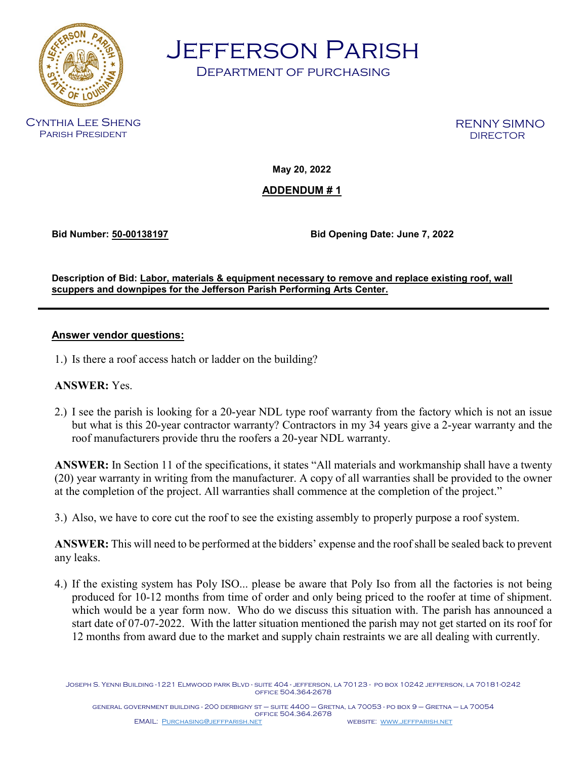

Jefferson Parish

Department of purchasing

Cynthia Lee Sheng Parish President

RENNY SIMNO<br>DIRECTOR

**May 20, 2022**

## **ADDENDUM # 1**

**Bid Number: 50-00138197 Bid Opening Date: June 7, 2022**

**Description of Bid: Labor, materials & equipment necessary to remove and replace existing roof, wall scuppers and downpipes for the Jefferson Parish Performing Arts Center.**

## **Answer vendor questions:**

1.) Is there a roof access hatch or ladder on the building?

## **ANSWER:** Yes.

2.) I see the parish is looking for a 20-year NDL type roof warranty from the factory which is not an issue but what is this 20-year contractor warranty? Contractors in my 34 years give a 2-year warranty and the roof manufacturers provide thru the roofers a 20-year NDL warranty.

**ANSWER:** In Section 11 of the specifications, it states "All materials and workmanship shall have a twenty (20) year warranty in writing from the manufacturer. A copy of all warranties shall be provided to the owner at the completion of the project. All warranties shall commence at the completion of the project."

3.) Also, we have to core cut the roof to see the existing assembly to properly purpose a roof system.

**ANSWER:** This will need to be performed at the bidders' expense and the roof shall be sealed back to prevent any leaks.

4.) If the existing system has Poly ISO... please be aware that Poly Iso from all the factories is not being produced for 10-12 months from time of order and only being priced to the roofer at time of shipment. which would be a year form now. Who do we discuss this situation with. The parish has announced a start date of 07-07-2022. With the latter situation mentioned the parish may not get started on its roof for 12 months from award due to the market and supply chain restraints we are all dealing with currently.

Joseph S. Yenni Building -1221 Elmwood park Blvd - suite 404 - jefferson, la 70123 - po box 10242 jefferson, la 70181-0242 office 504.364-2678